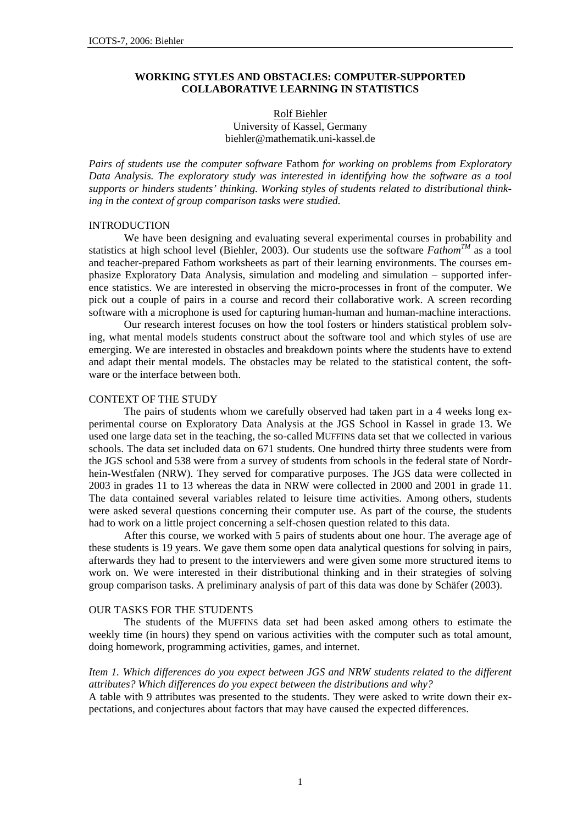## **WORKING STYLES AND OBSTACLES: COMPUTER-SUPPORTED COLLABORATIVE LEARNING IN STATISTICS**

# Rolf Biehler University of Kassel, Germany biehler@mathematik.uni-kassel.de

*Pairs of students use the computer software* Fathom *for working on problems from Exploratory Data Analysis. The exploratory study was interested in identifying how the software as a tool supports or hinders students' thinking. Working styles of students related to distributional thinking in the context of group comparison tasks were studied.* 

#### INTRODUCTION

We have been designing and evaluating several experimental courses in probability and statistics at high school level (Biehler, 2003). Our students use the software  $F$ athom<sup>TM</sup> as a tool and teacher-prepared Fathom worksheets as part of their learning environments. The courses emphasize Exploratory Data Analysis, simulation and modeling and simulation – supported inference statistics. We are interested in observing the micro-processes in front of the computer. We pick out a couple of pairs in a course and record their collaborative work. A screen recording software with a microphone is used for capturing human-human and human-machine interactions.

Our research interest focuses on how the tool fosters or hinders statistical problem solving, what mental models students construct about the software tool and which styles of use are emerging. We are interested in obstacles and breakdown points where the students have to extend and adapt their mental models. The obstacles may be related to the statistical content, the software or the interface between both.

## CONTEXT OF THE STUDY

The pairs of students whom we carefully observed had taken part in a 4 weeks long experimental course on Exploratory Data Analysis at the JGS School in Kassel in grade 13. We used one large data set in the teaching, the so-called MUFFINS data set that we collected in various schools. The data set included data on 671 students. One hundred thirty three students were from the JGS school and 538 were from a survey of students from schools in the federal state of Nordrhein-Westfalen (NRW). They served for comparative purposes. The JGS data were collected in 2003 in grades 11 to 13 whereas the data in NRW were collected in 2000 and 2001 in grade 11. The data contained several variables related to leisure time activities. Among others, students were asked several questions concerning their computer use. As part of the course, the students had to work on a little project concerning a self-chosen question related to this data.

After this course, we worked with 5 pairs of students about one hour. The average age of these students is 19 years. We gave them some open data analytical questions for solving in pairs, afterwards they had to present to the interviewers and were given some more structured items to work on. We were interested in their distributional thinking and in their strategies of solving group comparison tasks. A preliminary analysis of part of this data was done by Schäfer (2003).

# OUR TASKS FOR THE STUDENTS

The students of the MUFFINS data set had been asked among others to estimate the weekly time (in hours) they spend on various activities with the computer such as total amount, doing homework, programming activities, games, and internet.

# *Item 1. Which differences do you expect between JGS and NRW students related to the different attributes? Which differences do you expect between the distributions and why?*

A table with 9 attributes was presented to the students. They were asked to write down their expectations, and conjectures about factors that may have caused the expected differences.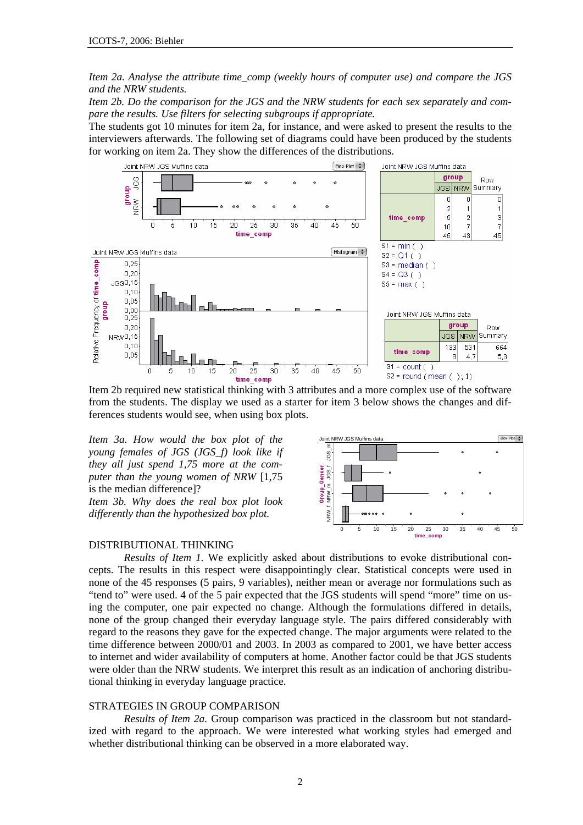*Item 2a. Analyse the attribute time\_comp (weekly hours of computer use) and compare the JGS and the NRW students.* 

*Item 2b. Do the comparison for the JGS and the NRW students for each sex separately and compare the results. Use filters for selecting subgroups if appropriate.* 

The students got 10 minutes for item 2a, for instance, and were asked to present the results to the interviewers afterwards. The following set of diagrams could have been produced by the students for working on item 2a. They show the differences of the distributions.



Item 2b required new statistical thinking with 3 attributes and a more complex use of the software from the students. The display we used as a starter for item 3 below shows the changes and differences students would see, when using box plots.

*Item 3a. How would the box plot of the young females of JGS (JGS\_f) look like if they all just spend 1,75 more at the computer than the young women of NRW* [1,75 is the median difference]?

*Item 3b. Why does the real box plot look differently than the hypothesized box plot.*



#### DISTRIBUTIONAL THINKING

*Results of Item 1.* We explicitly asked about distributions to evoke distributional concepts. The results in this respect were disappointingly clear. Statistical concepts were used in none of the 45 responses (5 pairs, 9 variables), neither mean or average nor formulations such as "tend to" were used. 4 of the 5 pair expected that the JGS students will spend "more" time on using the computer, one pair expected no change. Although the formulations differed in details, none of the group changed their everyday language style. The pairs differed considerably with regard to the reasons they gave for the expected change. The major arguments were related to the time difference between 2000/01 and 2003. In 2003 as compared to 2001, we have better access to internet and wider availability of computers at home. Another factor could be that JGS students were older than the NRW students. We interpret this result as an indication of anchoring distributional thinking in everyday language practice.

### STRATEGIES IN GROUP COMPARISON

*Results of Item 2a.* Group comparison was practiced in the classroom but not standardized with regard to the approach. We were interested what working styles had emerged and whether distributional thinking can be observed in a more elaborated way.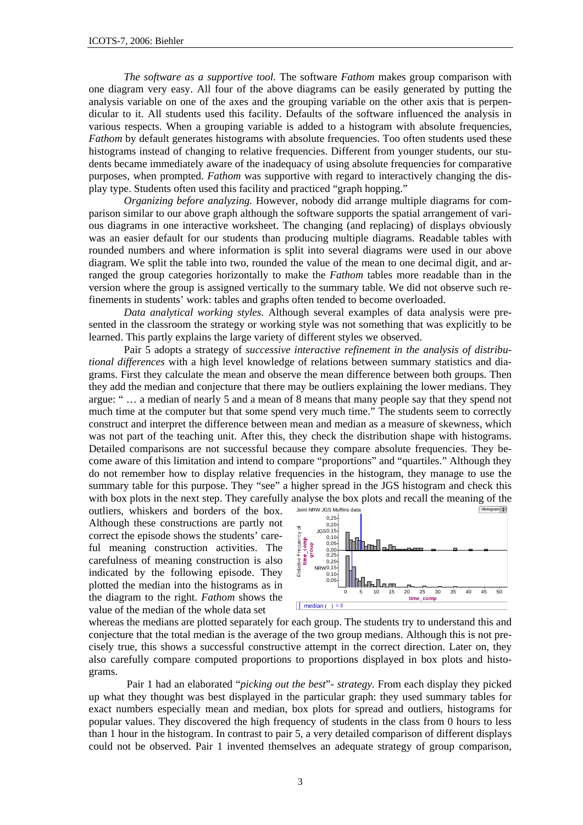*The software as a supportive tool.* The software *Fathom* makes group comparison with one diagram very easy. All four of the above diagrams can be easily generated by putting the analysis variable on one of the axes and the grouping variable on the other axis that is perpendicular to it. All students used this facility. Defaults of the software influenced the analysis in various respects. When a grouping variable is added to a histogram with absolute frequencies, *Fathom* by default generates histograms with absolute frequencies. Too often students used these histograms instead of changing to relative frequencies. Different from younger students, our students became immediately aware of the inadequacy of using absolute frequencies for comparative purposes, when prompted. *Fathom* was supportive with regard to interactively changing the display type. Students often used this facility and practiced "graph hopping."

*Organizing before analyzing.* However, nobody did arrange multiple diagrams for comparison similar to our above graph although the software supports the spatial arrangement of various diagrams in one interactive worksheet. The changing (and replacing) of displays obviously was an easier default for our students than producing multiple diagrams. Readable tables with rounded numbers and where information is split into several diagrams were used in our above diagram. We split the table into two, rounded the value of the mean to one decimal digit, and arranged the group categories horizontally to make the *Fathom* tables more readable than in the version where the group is assigned vertically to the summary table. We did not observe such refinements in students' work: tables and graphs often tended to become overloaded.

*Data analytical working styles.* Although several examples of data analysis were presented in the classroom the strategy or working style was not something that was explicitly to be learned. This partly explains the large variety of different styles we observed.

Pair 5 adopts a strategy of *successive interactive refinement in the analysis of distributional differences* with a high level knowledge of relations between summary statistics and diagrams. First they calculate the mean and observe the mean difference between both groups. Then they add the median and conjecture that there may be outliers explaining the lower medians. They argue: " … a median of nearly 5 and a mean of 8 means that many people say that they spend not much time at the computer but that some spend very much time." The students seem to correctly construct and interpret the difference between mean and median as a measure of skewness, which was not part of the teaching unit. After this, they check the distribution shape with histograms. Detailed comparisons are not successful because they compare absolute frequencies. They become aware of this limitation and intend to compare "proportions" and "quartiles." Although they do not remember how to display relative frequencies in the histogram, they manage to use the summary table for this purpose. They "see" a higher spread in the JGS histogram and check this with box plots in the next step. They carefully analyse the box plots and recall the meaning of the outliers which are and borders of the box solutions within state

outliers, whiskers and borders of the box. Although these constructions are partly not correct the episode shows the students' careful meaning construction activities. The carefulness of meaning construction is also indicated by the following episode. They plotted the median into the histograms as in the diagram to the right. *Fathom* shows the ful meaning construction activities. The  $\frac{3}{8}$   $\frac{3}{8}$   $\frac{3}{8}$   $\frac{3}{8}$   $\frac{3}{8}$   $\frac{3}{8}$   $\frac{3}{8}$   $\frac{3}{8}$   $\frac{3}{8}$   $\frac{3}{8}$   $\frac{3}{8}$   $\frac{3}{8}$   $\frac{3}{8}$   $\frac{3}{8}$   $\frac{3}{8}$   $\frac{3}{8}$   $\frac{3}{8}$   $\frac{3}{8}$ 



whereas the medians are plotted separately for each group. The students try to understand this and conjecture that the total median is the average of the two group medians. Although this is not precisely true, this shows a successful constructive attempt in the correct direction. Later on, they also carefully compare computed proportions to proportions displayed in box plots and histograms.

 Pair 1 had an elaborated "*picking out the best*"*- strategy.* From each display they picked up what they thought was best displayed in the particular graph: they used summary tables for exact numbers especially mean and median, box plots for spread and outliers, histograms for popular values. They discovered the high frequency of students in the class from 0 hours to less than 1 hour in the histogram. In contrast to pair 5, a very detailed comparison of different displays could not be observed. Pair 1 invented themselves an adequate strategy of group comparison,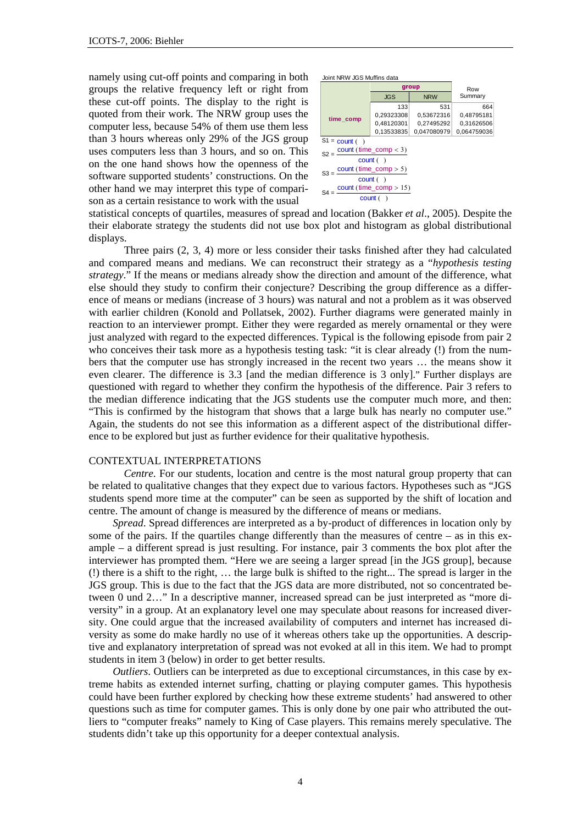namely using cut-off points and comparing in both groups the relative frequency left or right from these cut-off points. The display to the right is quoted from their work. The NRW group uses the computer less, because 54% of them use them less than 3 hours whereas only 29% of the JGS group uses computers less than 3 hours, and so on. This on the one hand shows how the openness of the software supported students' constructions. On the other hand we may interpret this type of comparison as a certain resistance to work with the usual



statistical concepts of quartiles, measures of spread and location (Bakker *et al*., 2005). Despite the their elaborate strategy the students did not use box plot and histogram as global distributional displays.

Three pairs (2, 3, 4) more or less consider their tasks finished after they had calculated and compared means and medians. We can reconstruct their strategy as a "*hypothesis testing strategy*." If the means or medians already show the direction and amount of the difference, what else should they study to confirm their conjecture? Describing the group difference as a difference of means or medians (increase of 3 hours) was natural and not a problem as it was observed with earlier children (Konold and Pollatsek, 2002). Further diagrams were generated mainly in reaction to an interviewer prompt. Either they were regarded as merely ornamental or they were just analyzed with regard to the expected differences. Typical is the following episode from pair 2 who conceives their task more as a hypothesis testing task: "it is clear already (!) from the numbers that the computer use has strongly increased in the recent two years … the means show it even clearer. The difference is 3.3 [and the median difference is 3 only]." Further displays are questioned with regard to whether they confirm the hypothesis of the difference. Pair 3 refers to the median difference indicating that the JGS students use the computer much more, and then: "This is confirmed by the histogram that shows that a large bulk has nearly no computer use." Again, the students do not see this information as a different aspect of the distributional difference to be explored but just as further evidence for their qualitative hypothesis.

#### CONTEXTUAL INTERPRETATIONS

*Centre*. For our students, location and centre is the most natural group property that can be related to qualitative changes that they expect due to various factors. Hypotheses such as "JGS students spend more time at the computer" can be seen as supported by the shift of location and centre. The amount of change is measured by the difference of means or medians.

*Spread*. Spread differences are interpreted as a by-product of differences in location only by some of the pairs. If the quartiles change differently than the measures of centre – as in this example – a different spread is just resulting. For instance, pair 3 comments the box plot after the interviewer has prompted them. "Here we are seeing a larger spread [in the JGS group], because (!) there is a shift to the right, … the large bulk is shifted to the right... The spread is larger in the JGS group. This is due to the fact that the JGS data are more distributed, not so concentrated between 0 und 2…" In a descriptive manner, increased spread can be just interpreted as "more diversity" in a group. At an explanatory level one may speculate about reasons for increased diversity. One could argue that the increased availability of computers and internet has increased diversity as some do make hardly no use of it whereas others take up the opportunities. A descriptive and explanatory interpretation of spread was not evoked at all in this item. We had to prompt students in item 3 (below) in order to get better results.

*Outliers*. Outliers can be interpreted as due to exceptional circumstances, in this case by extreme habits as extended internet surfing, chatting or playing computer games. This hypothesis could have been further explored by checking how these extreme students' had answered to other questions such as time for computer games. This is only done by one pair who attributed the outliers to "computer freaks" namely to King of Case players. This remains merely speculative. The students didn't take up this opportunity for a deeper contextual analysis.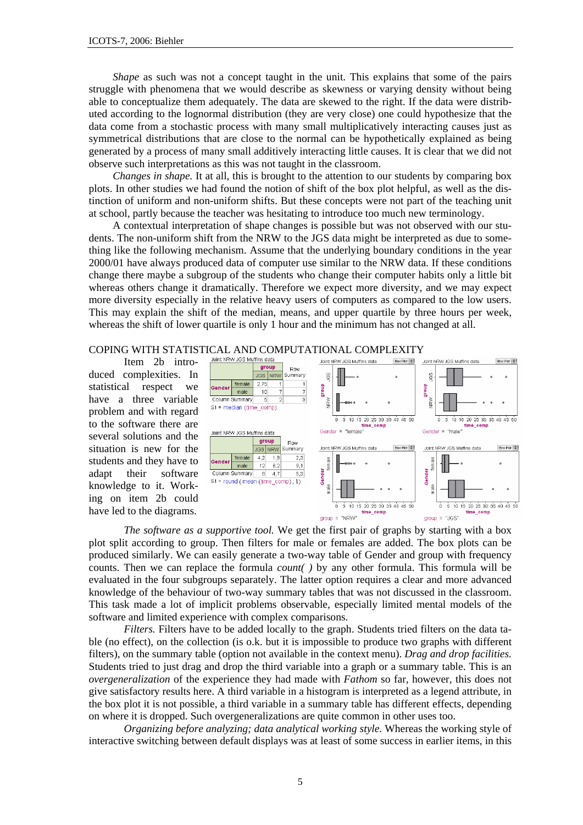*Shape* as such was not a concept taught in the unit. This explains that some of the pairs struggle with phenomena that we would describe as skewness or varying density without being able to conceptualize them adequately. The data are skewed to the right. If the data were distributed according to the lognormal distribution (they are very close) one could hypothesize that the data come from a stochastic process with many small multiplicatively interacting causes just as symmetrical distributions that are close to the normal can be hypothetically explained as being generated by a process of many small additively interacting little causes. It is clear that we did not observe such interpretations as this was not taught in the classroom.

*Changes in shape.* It at all, this is brought to the attention to our students by comparing box plots. In other studies we had found the notion of shift of the box plot helpful, as well as the distinction of uniform and non-uniform shifts. But these concepts were not part of the teaching unit at school, partly because the teacher was hesitating to introduce too much new terminology.

A contextual interpretation of shape changes is possible but was not observed with our students. The non-uniform shift from the NRW to the JGS data might be interpreted as due to something like the following mechanism. Assume that the underlying boundary conditions in the year 2000/01 have always produced data of computer use similar to the NRW data. If these conditions change there maybe a subgroup of the students who change their computer habits only a little bit whereas others change it dramatically. Therefore we expect more diversity, and we may expect more diversity especially in the relative heavy users of computers as compared to the low users. This may explain the shift of the median, means, and upper quartile by three hours per week, whereas the shift of lower quartile is only 1 hour and the minimum has not changed at all.

# COPING WITH STATISTICAL AND COMPUTATIONAL COMPLEXITY<br>
Item 2h intro- Joint NEW JGS Muffins data

Item 2b introduced complexities. In statistical respect we have a three variable problem and with regard to the software there are several solutions and the situation is new for the students and they have to adapt their software knowledge to it. Working on item 2b could have led to the diagrams.



*The software as a supportive tool.* We get the first pair of graphs by starting with a box plot split according to group. Then filters for male or females are added. The box plots can be produced similarly. We can easily generate a two-way table of Gender and group with frequency counts. Then we can replace the formula *count( )* by any other formula. This formula will be evaluated in the four subgroups separately. The latter option requires a clear and more advanced knowledge of the behaviour of two-way summary tables that was not discussed in the classroom. This task made a lot of implicit problems observable, especially limited mental models of the software and limited experience with complex comparisons.

*Filters.* Filters have to be added locally to the graph. Students tried filters on the data table (no effect), on the collection (is o.k. but it is impossible to produce two graphs with different filters), on the summary table (option not available in the context menu). *Drag and drop facilities.* Students tried to just drag and drop the third variable into a graph or a summary table. This is an *overgeneralization* of the experience they had made with *Fathom* so far, however, this does not give satisfactory results here. A third variable in a histogram is interpreted as a legend attribute, in the box plot it is not possible, a third variable in a summary table has different effects, depending on where it is dropped. Such overgeneralizations are quite common in other uses too.

*Organizing before analyzing; data analytical working style.* Whereas the working style of interactive switching between default displays was at least of some success in earlier items, in this